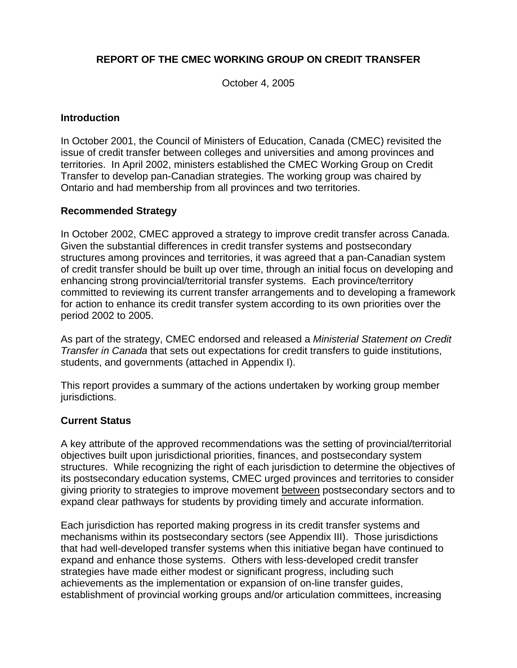### **REPORT OF THE CMEC WORKING GROUP ON CREDIT TRANSFER**

October 4, 2005

#### **Introduction**

In October 2001, the Council of Ministers of Education, Canada (CMEC) revisited the issue of credit transfer between colleges and universities and among provinces and territories. In April 2002, ministers established the CMEC Working Group on Credit Transfer to develop pan-Canadian strategies. The working group was chaired by Ontario and had membership from all provinces and two territories.

#### **Recommended Strategy**

In October 2002, CMEC approved a strategy to improve credit transfer across Canada. Given the substantial differences in credit transfer systems and postsecondary structures among provinces and territories, it was agreed that a pan-Canadian system of credit transfer should be built up over time, through an initial focus on developing and enhancing strong provincial/territorial transfer systems. Each province/territory committed to reviewing its current transfer arrangements and to developing a framework for action to enhance its credit transfer system according to its own priorities over the period 2002 to 2005.

As part of the strategy, CMEC endorsed and released a *Ministerial Statement on Credit Transfer in Canada* that sets out expectations for credit transfers to guide institutions, students, and governments (attached in Appendix I).

This report provides a summary of the actions undertaken by working group member jurisdictions.

#### **Current Status**

A key attribute of the approved recommendations was the setting of provincial/territorial objectives built upon jurisdictional priorities, finances, and postsecondary system structures. While recognizing the right of each jurisdiction to determine the objectives of its postsecondary education systems, CMEC urged provinces and territories to consider giving priority to strategies to improve movement between postsecondary sectors and to expand clear pathways for students by providing timely and accurate information.

Each jurisdiction has reported making progress in its credit transfer systems and mechanisms within its postsecondary sectors (see Appendix III). Those jurisdictions that had well-developed transfer systems when this initiative began have continued to expand and enhance those systems. Others with less-developed credit transfer strategies have made either modest or significant progress, including such achievements as the implementation or expansion of on-line transfer guides, establishment of provincial working groups and/or articulation committees, increasing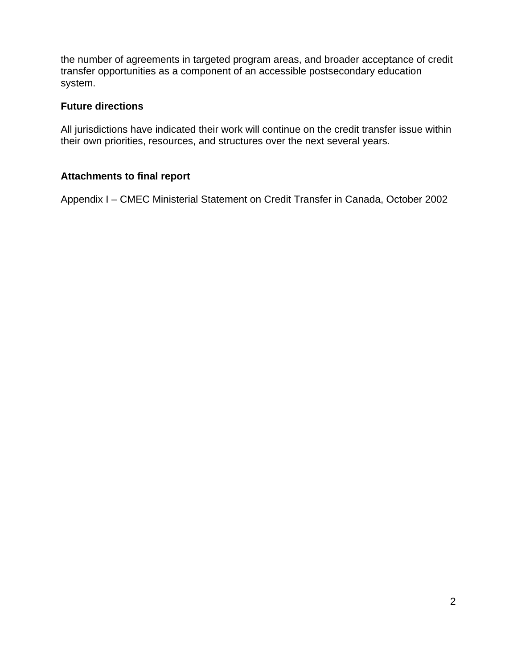the number of agreements in targeted program areas, and broader acceptance of credit transfer opportunities as a component of an accessible postsecondary education system.

#### **Future directions**

All jurisdictions have indicated their work will continue on the credit transfer issue within their own priorities, resources, and structures over the next several years.

### **Attachments to final report**

Appendix I – CMEC Ministerial Statement on Credit Transfer in Canada, October 2002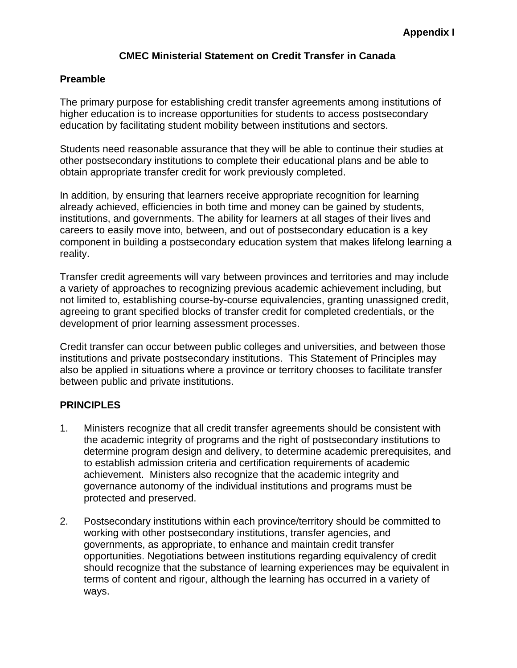#### **CMEC Ministerial Statement on Credit Transfer in Canada**

#### **Preamble**

The primary purpose for establishing credit transfer agreements among institutions of higher education is to increase opportunities for students to access postsecondary education by facilitating student mobility between institutions and sectors.

Students need reasonable assurance that they will be able to continue their studies at other postsecondary institutions to complete their educational plans and be able to obtain appropriate transfer credit for work previously completed.

In addition, by ensuring that learners receive appropriate recognition for learning already achieved, efficiencies in both time and money can be gained by students, institutions, and governments. The ability for learners at all stages of their lives and careers to easily move into, between, and out of postsecondary education is a key component in building a postsecondary education system that makes lifelong learning a reality.

Transfer credit agreements will vary between provinces and territories and may include a variety of approaches to recognizing previous academic achievement including, but not limited to, establishing course-by-course equivalencies, granting unassigned credit, agreeing to grant specified blocks of transfer credit for completed credentials, or the development of prior learning assessment processes.

Credit transfer can occur between public colleges and universities, and between those institutions and private postsecondary institutions. This Statement of Principles may also be applied in situations where a province or territory chooses to facilitate transfer between public and private institutions.

#### **PRINCIPLES**

- 1. Ministers recognize that all credit transfer agreements should be consistent with the academic integrity of programs and the right of postsecondary institutions to determine program design and delivery, to determine academic prerequisites, and to establish admission criteria and certification requirements of academic achievement. Ministers also recognize that the academic integrity and governance autonomy of the individual institutions and programs must be protected and preserved.
- 2. Postsecondary institutions within each province/territory should be committed to working with other postsecondary institutions, transfer agencies, and governments, as appropriate, to enhance and maintain credit transfer opportunities. Negotiations between institutions regarding equivalency of credit should recognize that the substance of learning experiences may be equivalent in terms of content and rigour, although the learning has occurred in a variety of ways.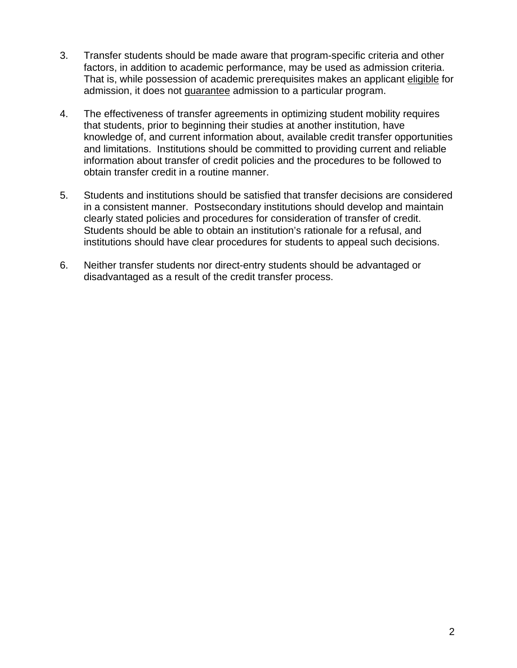- 3. Transfer students should be made aware that program-specific criteria and other factors, in addition to academic performance, may be used as admission criteria. That is, while possession of academic prerequisites makes an applicant eligible for admission, it does not guarantee admission to a particular program.
- 4. The effectiveness of transfer agreements in optimizing student mobility requires that students, prior to beginning their studies at another institution, have knowledge of, and current information about, available credit transfer opportunities and limitations. Institutions should be committed to providing current and reliable information about transfer of credit policies and the procedures to be followed to obtain transfer credit in a routine manner.
- 5. Students and institutions should be satisfied that transfer decisions are considered in a consistent manner. Postsecondary institutions should develop and maintain clearly stated policies and procedures for consideration of transfer of credit. Students should be able to obtain an institution's rationale for a refusal, and institutions should have clear procedures for students to appeal such decisions.
- 6. Neither transfer students nor direct-entry students should be advantaged or disadvantaged as a result of the credit transfer process.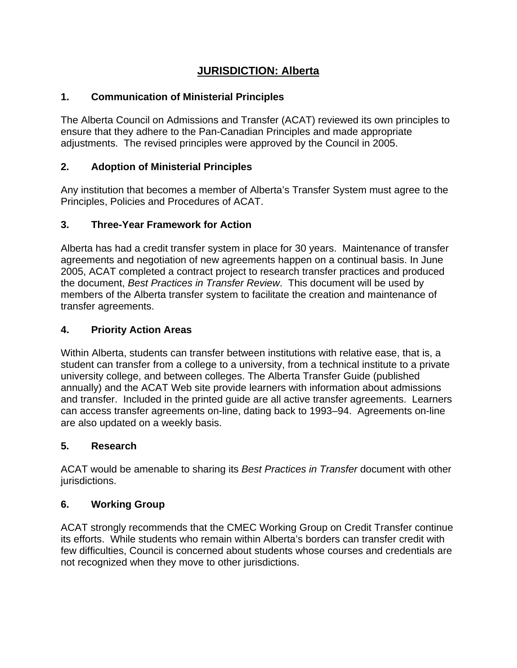# **JURISDICTION: Alberta**

## **1. Communication of Ministerial Principles**

The Alberta Council on Admissions and Transfer (ACAT) reviewed its own principles to ensure that they adhere to the Pan-Canadian Principles and made appropriate adjustments. The revised principles were approved by the Council in 2005.

## **2. Adoption of Ministerial Principles**

Any institution that becomes a member of Alberta's Transfer System must agree to the Principles, Policies and Procedures of ACAT.

### **3. Three-Year Framework for Action**

Alberta has had a credit transfer system in place for 30 years. Maintenance of transfer agreements and negotiation of new agreements happen on a continual basis. In June 2005, ACAT completed a contract project to research transfer practices and produced the document, *Best Practices in Transfer Review*. This document will be used by members of the Alberta transfer system to facilitate the creation and maintenance of transfer agreements.

### **4. Priority Action Areas**

Within Alberta, students can transfer between institutions with relative ease, that is, a student can transfer from a college to a university, from a technical institute to a private university college, and between colleges. The Alberta Transfer Guide (published annually) and the ACAT Web site provide learners with information about admissions and transfer. Included in the printed guide are all active transfer agreements. Learners can access transfer agreements on-line, dating back to 1993–94. Agreements on-line are also updated on a weekly basis.

### **5. Research**

ACAT would be amenable to sharing its *Best Practices in Transfer* document with other jurisdictions.

### **6. Working Group**

ACAT strongly recommends that the CMEC Working Group on Credit Transfer continue its efforts. While students who remain within Alberta's borders can transfer credit with few difficulties, Council is concerned about students whose courses and credentials are not recognized when they move to other jurisdictions.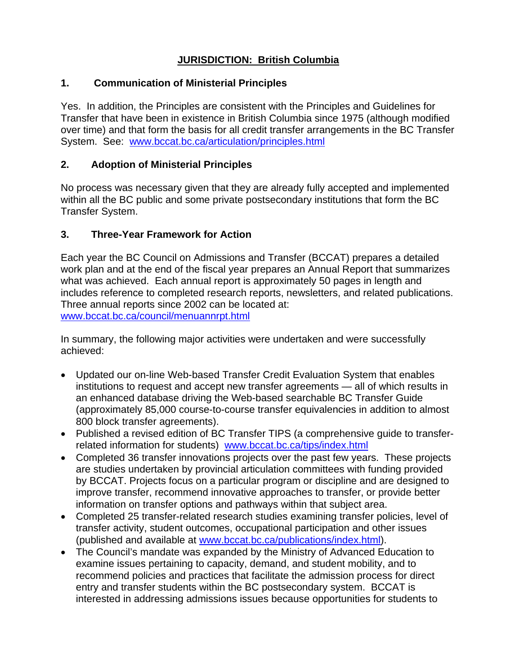## **JURISDICTION: British Columbia**

### **1. Communication of Ministerial Principles**

Yes. In addition, the Principles are consistent with the Principles and Guidelines for Transfer that have been in existence in British Columbia since 1975 (although modified over time) and that form the basis for all credit transfer arrangements in the BC Transfer System. See: www.bccat.bc.ca/articulation/principles.html

### **2. Adoption of Ministerial Principles**

No process was necessary given that they are already fully accepted and implemented within all the BC public and some private postsecondary institutions that form the BC Transfer System.

### **3. Three-Year Framework for Action**

Each year the BC Council on Admissions and Transfer (BCCAT) prepares a detailed work plan and at the end of the fiscal year prepares an Annual Report that summarizes what was achieved. Each annual report is approximately 50 pages in length and includes reference to completed research reports, newsletters, and related publications. Three annual reports since 2002 can be located at: www.bccat.bc.ca/council/menuannrpt.html

In summary, the following major activities were undertaken and were successfully achieved:

- Updated our on-line Web-based Transfer Credit Evaluation System that enables institutions to request and accept new transfer agreements — all of which results in an enhanced database driving the Web-based searchable BC Transfer Guide (approximately 85,000 course-to-course transfer equivalencies in addition to almost 800 block transfer agreements).
- Published a revised edition of BC Transfer TIPS (a comprehensive guide to transferrelated information for students) www.bccat.bc.ca/tips/index.html
- Completed 36 transfer innovations projects over the past few years. These projects are studies undertaken by provincial articulation committees with funding provided by BCCAT. Projects focus on a particular program or discipline and are designed to improve transfer, recommend innovative approaches to transfer, or provide better information on transfer options and pathways within that subject area.
- Completed 25 transfer-related research studies examining transfer policies, level of transfer activity, student outcomes, occupational participation and other issues (published and available at www.bccat.bc.ca/publications/index.html).
- The Council's mandate was expanded by the Ministry of Advanced Education to examine issues pertaining to capacity, demand, and student mobility, and to recommend policies and practices that facilitate the admission process for direct entry and transfer students within the BC postsecondary system. BCCAT is interested in addressing admissions issues because opportunities for students to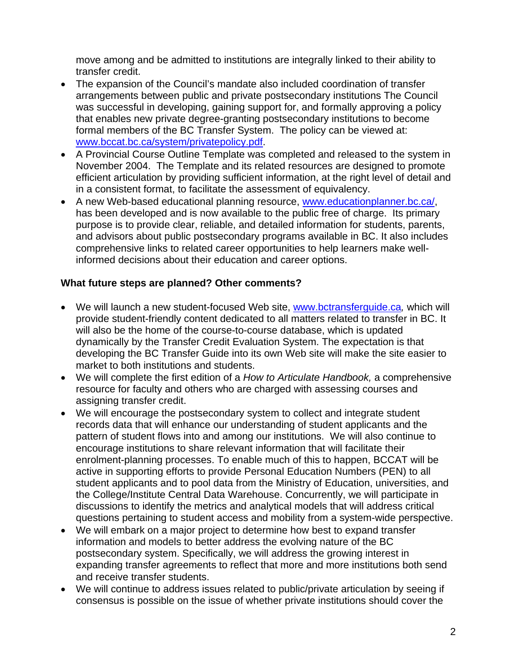move among and be admitted to institutions are integrally linked to their ability to transfer credit.

- The expansion of the Council's mandate also included coordination of transfer arrangements between public and private postsecondary institutions The Council was successful in developing, gaining support for, and formally approving a policy that enables new private degree-granting postsecondary institutions to become formal members of the BC Transfer System. The policy can be viewed at: www.bccat.bc.ca/system/privatepolicy.pdf.
- A Provincial Course Outline Template was completed and released to the system in November 2004. The Template and its related resources are designed to promote efficient articulation by providing sufficient information, at the right level of detail and in a consistent format, to facilitate the assessment of equivalency.
- A new Web-based educational planning resource, www.educationplanner.bc.ca/, has been developed and is now available to the public free of charge. Its primary purpose is to provide clear, reliable, and detailed information for students, parents, and advisors about public postsecondary programs available in BC. It also includes comprehensive links to related career opportunities to help learners make wellinformed decisions about their education and career options.

#### **What future steps are planned? Other comments?**

- We will launch a new student-focused Web site, www.bctransferguide.ca*,* which will provide student-friendly content dedicated to all matters related to transfer in BC. It will also be the home of the course-to-course database, which is updated dynamically by the Transfer Credit Evaluation System. The expectation is that developing the BC Transfer Guide into its own Web site will make the site easier to market to both institutions and students.
- We will complete the first edition of a *How to Articulate Handbook,* a comprehensive resource for faculty and others who are charged with assessing courses and assigning transfer credit.
- We will encourage the postsecondary system to collect and integrate student records data that will enhance our understanding of student applicants and the pattern of student flows into and among our institutions. We will also continue to encourage institutions to share relevant information that will facilitate their enrolment-planning processes. To enable much of this to happen, BCCAT will be active in supporting efforts to provide Personal Education Numbers (PEN) to all student applicants and to pool data from the Ministry of Education, universities, and the College/Institute Central Data Warehouse. Concurrently, we will participate in discussions to identify the metrics and analytical models that will address critical questions pertaining to student access and mobility from a system-wide perspective.
- We will embark on a major project to determine how best to expand transfer information and models to better address the evolving nature of the BC postsecondary system. Specifically, we will address the growing interest in expanding transfer agreements to reflect that more and more institutions both send and receive transfer students.
- We will continue to address issues related to public/private articulation by seeing if consensus is possible on the issue of whether private institutions should cover the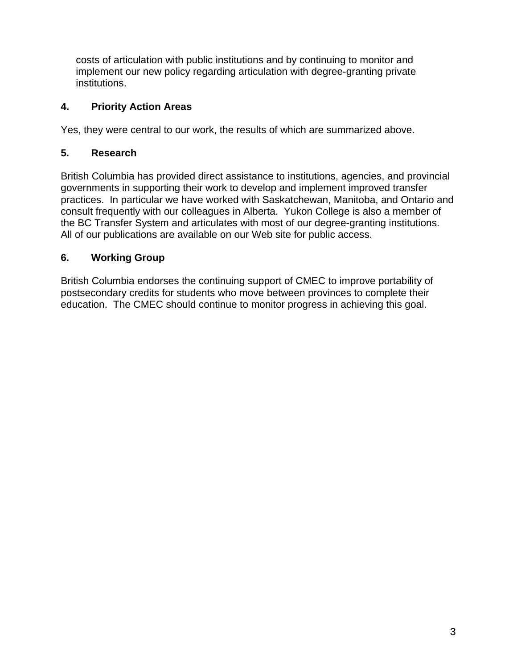costs of articulation with public institutions and by continuing to monitor and implement our new policy regarding articulation with degree-granting private institutions.

### **4. Priority Action Areas**

Yes, they were central to our work, the results of which are summarized above.

### **5. Research**

British Columbia has provided direct assistance to institutions, agencies, and provincial governments in supporting their work to develop and implement improved transfer practices. In particular we have worked with Saskatchewan, Manitoba, and Ontario and consult frequently with our colleagues in Alberta. Yukon College is also a member of the BC Transfer System and articulates with most of our degree-granting institutions. All of our publications are available on our Web site for public access.

## **6. Working Group**

British Columbia endorses the continuing support of CMEC to improve portability of postsecondary credits for students who move between provinces to complete their education. The CMEC should continue to monitor progress in achieving this goal.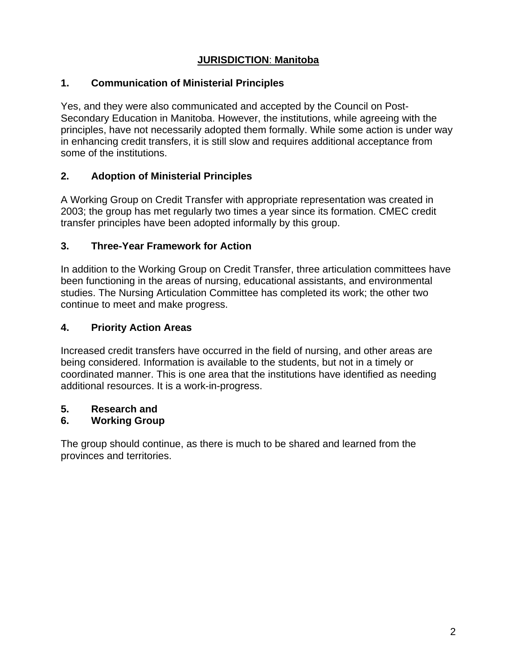## **JURISDICTION**: **Manitoba**

### **1. Communication of Ministerial Principles**

Yes, and they were also communicated and accepted by the Council on Post-Secondary Education in Manitoba. However, the institutions, while agreeing with the principles, have not necessarily adopted them formally. While some action is under way in enhancing credit transfers, it is still slow and requires additional acceptance from some of the institutions.

## **2. Adoption of Ministerial Principles**

A Working Group on Credit Transfer with appropriate representation was created in 2003; the group has met regularly two times a year since its formation. CMEC credit transfer principles have been adopted informally by this group.

### **3. Three-Year Framework for Action**

In addition to the Working Group on Credit Transfer, three articulation committees have been functioning in the areas of nursing, educational assistants, and environmental studies. The Nursing Articulation Committee has completed its work; the other two continue to meet and make progress.

### **4. Priority Action Areas**

Increased credit transfers have occurred in the field of nursing, and other areas are being considered. Information is available to the students, but not in a timely or coordinated manner. This is one area that the institutions have identified as needing additional resources. It is a work-in-progress.

### **5. Research and**

## **6. Working Group**

The group should continue, as there is much to be shared and learned from the provinces and territories.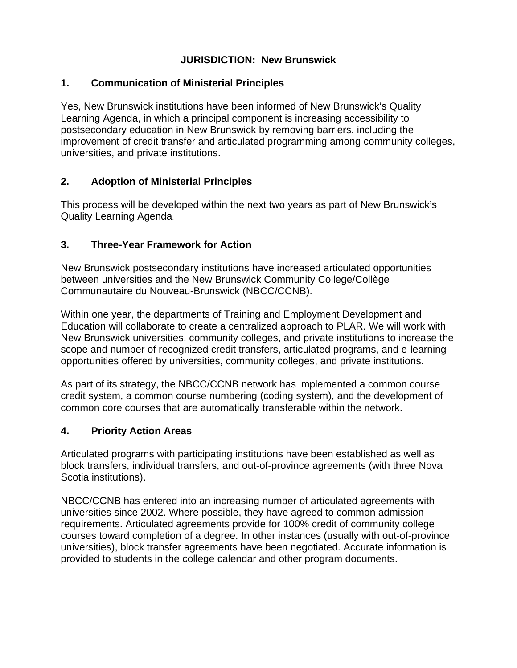## **JURISDICTION: New Brunswick**

#### **1. Communication of Ministerial Principles**

Yes, New Brunswick institutions have been informed of New Brunswick's Quality Learning Agenda, in which a principal component is increasing accessibility to postsecondary education in New Brunswick by removing barriers, including the improvement of credit transfer and articulated programming among community colleges, universities, and private institutions.

### **2. Adoption of Ministerial Principles**

This process will be developed within the next two years as part of New Brunswick's Quality Learning Agenda.

#### **3. Three-Year Framework for Action**

New Brunswick postsecondary institutions have increased articulated opportunities between universities and the New Brunswick Community College/Collège Communautaire du Nouveau-Brunswick (NBCC/CCNB).

Within one year, the departments of Training and Employment Development and Education will collaborate to create a centralized approach to PLAR. We will work with New Brunswick universities, community colleges, and private institutions to increase the scope and number of recognized credit transfers, articulated programs, and e-learning opportunities offered by universities, community colleges, and private institutions.

As part of its strategy, the NBCC/CCNB network has implemented a common course credit system, a common course numbering (coding system), and the development of common core courses that are automatically transferable within the network.

### **4. Priority Action Areas**

Articulated programs with participating institutions have been established as well as block transfers, individual transfers, and out-of-province agreements (with three Nova Scotia institutions).

NBCC/CCNB has entered into an increasing number of articulated agreements with universities since 2002. Where possible, they have agreed to common admission requirements. Articulated agreements provide for 100% credit of community college courses toward completion of a degree. In other instances (usually with out-of-province universities), block transfer agreements have been negotiated. Accurate information is provided to students in the college calendar and other program documents.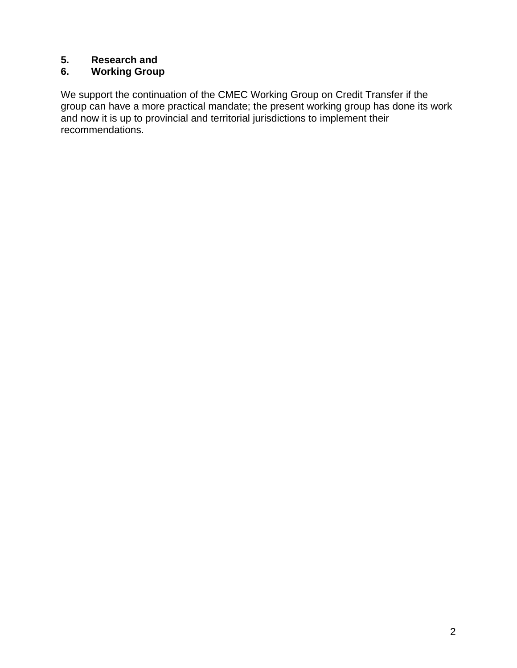### **5. Research and**

## **6. Working Group**

We support the continuation of the CMEC Working Group on Credit Transfer if the group can have a more practical mandate; the present working group has done its work and now it is up to provincial and territorial jurisdictions to implement their recommendations.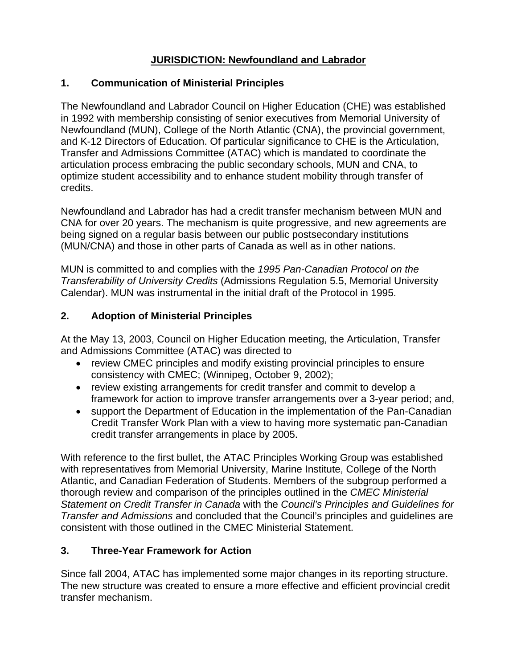## **JURISDICTION: Newfoundland and Labrador**

#### **1. Communication of Ministerial Principles**

The Newfoundland and Labrador Council on Higher Education (CHE) was established in 1992 with membership consisting of senior executives from Memorial University of Newfoundland (MUN), College of the North Atlantic (CNA), the provincial government, and K-12 Directors of Education. Of particular significance to CHE is the Articulation, Transfer and Admissions Committee (ATAC) which is mandated to coordinate the articulation process embracing the public secondary schools, MUN and CNA, to optimize student accessibility and to enhance student mobility through transfer of credits.

Newfoundland and Labrador has had a credit transfer mechanism between MUN and CNA for over 20 years. The mechanism is quite progressive, and new agreements are being signed on a regular basis between our public postsecondary institutions (MUN/CNA) and those in other parts of Canada as well as in other nations.

MUN is committed to and complies with the *1995 Pan-Canadian Protocol on the Transferability of University Credits* (Admissions Regulation 5.5, Memorial University Calendar). MUN was instrumental in the initial draft of the Protocol in 1995.

### **2. Adoption of Ministerial Principles**

At the May 13, 2003, Council on Higher Education meeting, the Articulation, Transfer and Admissions Committee (ATAC) was directed to

- review CMEC principles and modify existing provincial principles to ensure consistency with CMEC; (Winnipeg, October 9, 2002);
- review existing arrangements for credit transfer and commit to develop a framework for action to improve transfer arrangements over a 3-year period; and,
- support the Department of Education in the implementation of the Pan-Canadian Credit Transfer Work Plan with a view to having more systematic pan-Canadian credit transfer arrangements in place by 2005.

With reference to the first bullet, the ATAC Principles Working Group was established with representatives from Memorial University, Marine Institute, College of the North Atlantic, and Canadian Federation of Students. Members of the subgroup performed a thorough review and comparison of the principles outlined in the *CMEC Ministerial Statement on Credit Transfer in Canada* with the *Council's Principles and Guidelines for Transfer and Admissions* and concluded that the Council's principles and guidelines are consistent with those outlined in the CMEC Ministerial Statement.

### **3. Three-Year Framework for Action**

Since fall 2004, ATAC has implemented some major changes in its reporting structure. The new structure was created to ensure a more effective and efficient provincial credit transfer mechanism.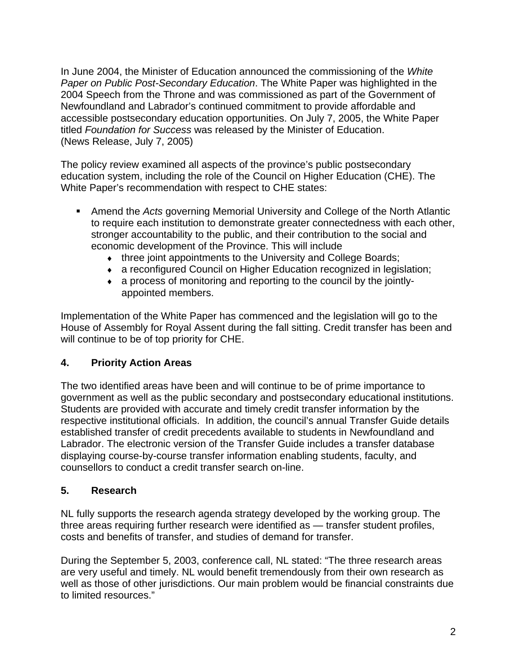In June 2004, the Minister of Education announced the commissioning of the *White Paper on Public Post-Secondary Education*. The White Paper was highlighted in the 2004 Speech from the Throne and was commissioned as part of the Government of Newfoundland and Labrador's continued commitment to provide affordable and accessible postsecondary education opportunities. On July 7, 2005, the White Paper titled *Foundation for Success* was released by the Minister of Education. (News Release, July 7, 2005)

The policy review examined all aspects of the province's public postsecondary education system, including the role of the Council on Higher Education (CHE). The White Paper's recommendation with respect to CHE states:

- Amend the *Acts* governing Memorial University and College of the North Atlantic to require each institution to demonstrate greater connectedness with each other, stronger accountability to the public, and their contribution to the social and economic development of the Province. This will include
	- ♦ three joint appointments to the University and College Boards;
	- ♦ a reconfigured Council on Higher Education recognized in legislation;
	- ♦ a process of monitoring and reporting to the council by the jointlyappointed members.

Implementation of the White Paper has commenced and the legislation will go to the House of Assembly for Royal Assent during the fall sitting. Credit transfer has been and will continue to be of top priority for CHE.

## **4. Priority Action Areas**

The two identified areas have been and will continue to be of prime importance to government as well as the public secondary and postsecondary educational institutions. Students are provided with accurate and timely credit transfer information by the respective institutional officials. In addition, the council's annual Transfer Guide details established transfer of credit precedents available to students in Newfoundland and Labrador. The electronic version of the Transfer Guide includes a transfer database displaying course-by-course transfer information enabling students, faculty, and counsellors to conduct a credit transfer search on-line.

### **5. Research**

NL fully supports the research agenda strategy developed by the working group. The three areas requiring further research were identified as — transfer student profiles, costs and benefits of transfer, and studies of demand for transfer.

During the September 5, 2003, conference call, NL stated: "The three research areas are very useful and timely. NL would benefit tremendously from their own research as well as those of other jurisdictions. Our main problem would be financial constraints due to limited resources."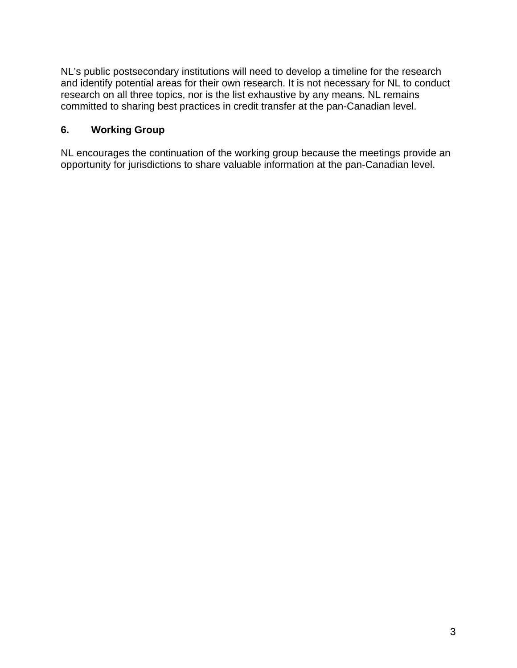NL's public postsecondary institutions will need to develop a timeline for the research and identify potential areas for their own research. It is not necessary for NL to conduct research on all three topics, nor is the list exhaustive by any means. NL remains committed to sharing best practices in credit transfer at the pan-Canadian level.

#### **6. Working Group**

NL encourages the continuation of the working group because the meetings provide an opportunity for jurisdictions to share valuable information at the pan-Canadian level.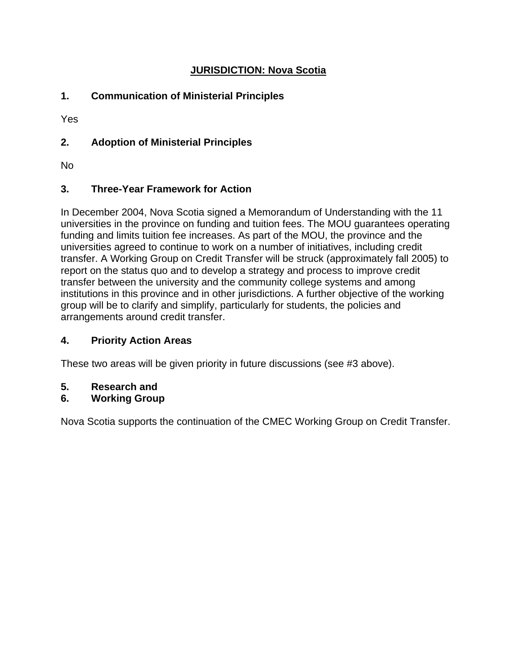### **JURISDICTION: Nova Scotia**

### **1. Communication of Ministerial Principles**

Yes

### **2. Adoption of Ministerial Principles**

No

### **3. Three-Year Framework for Action**

In December 2004, Nova Scotia signed a Memorandum of Understanding with the 11 universities in the province on funding and tuition fees. The MOU guarantees operating funding and limits tuition fee increases. As part of the MOU, the province and the universities agreed to continue to work on a number of initiatives, including credit transfer. A Working Group on Credit Transfer will be struck (approximately fall 2005) to report on the status quo and to develop a strategy and process to improve credit transfer between the university and the community college systems and among institutions in this province and in other jurisdictions. A further objective of the working group will be to clarify and simplify, particularly for students, the policies and arrangements around credit transfer.

### **4. Priority Action Areas**

These two areas will be given priority in future discussions (see #3 above).

**5. Research and** 

### **6. Working Group**

Nova Scotia supports the continuation of the CMEC Working Group on Credit Transfer.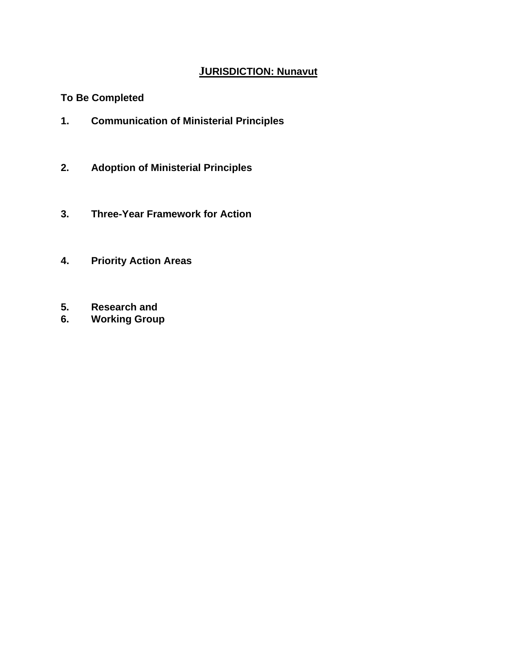# **JURISDICTION: Nunavut**

### **To Be Completed**

- **1. Communication of Ministerial Principles**
- **2. Adoption of Ministerial Principles**
- **3. Three-Year Framework for Action**
- **4. Priority Action Areas**
- **5. Research and**
- **6. Working Group**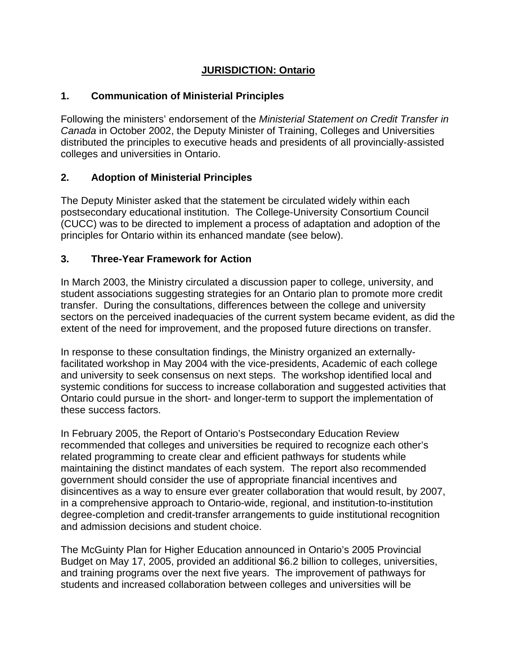### **JURISDICTION: Ontario**

#### **1. Communication of Ministerial Principles**

Following the ministers' endorsement of the *Ministerial Statement on Credit Transfer in Canada* in October 2002, the Deputy Minister of Training, Colleges and Universities distributed the principles to executive heads and presidents of all provincially-assisted colleges and universities in Ontario.

### **2. Adoption of Ministerial Principles**

The Deputy Minister asked that the statement be circulated widely within each postsecondary educational institution. The College-University Consortium Council (CUCC) was to be directed to implement a process of adaptation and adoption of the principles for Ontario within its enhanced mandate (see below).

#### **3. Three-Year Framework for Action**

In March 2003, the Ministry circulated a discussion paper to college, university, and student associations suggesting strategies for an Ontario plan to promote more credit transfer. During the consultations, differences between the college and university sectors on the perceived inadequacies of the current system became evident, as did the extent of the need for improvement, and the proposed future directions on transfer.

In response to these consultation findings, the Ministry organized an externallyfacilitated workshop in May 2004 with the vice-presidents, Academic of each college and university to seek consensus on next steps. The workshop identified local and systemic conditions for success to increase collaboration and suggested activities that Ontario could pursue in the short- and longer-term to support the implementation of these success factors.

In February 2005, the Report of Ontario's Postsecondary Education Review recommended that colleges and universities be required to recognize each other's related programming to create clear and efficient pathways for students while maintaining the distinct mandates of each system. The report also recommended government should consider the use of appropriate financial incentives and disincentives as a way to ensure ever greater collaboration that would result, by 2007, in a comprehensive approach to Ontario-wide, regional, and institution-to-institution degree-completion and credit-transfer arrangements to guide institutional recognition and admission decisions and student choice.

The McGuinty Plan for Higher Education announced in Ontario's 2005 Provincial Budget on May 17, 2005, provided an additional \$6.2 billion to colleges, universities, and training programs over the next five years. The improvement of pathways for students and increased collaboration between colleges and universities will be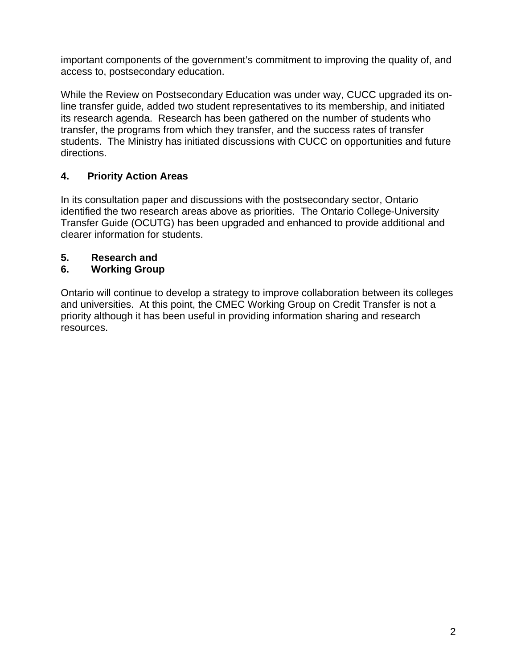important components of the government's commitment to improving the quality of, and access to, postsecondary education.

While the Review on Postsecondary Education was under way, CUCC upgraded its online transfer guide, added two student representatives to its membership, and initiated its research agenda. Research has been gathered on the number of students who transfer, the programs from which they transfer, and the success rates of transfer students. The Ministry has initiated discussions with CUCC on opportunities and future directions.

## **4. Priority Action Areas**

In its consultation paper and discussions with the postsecondary sector, Ontario identified the two research areas above as priorities. The Ontario College-University Transfer Guide (OCUTG) has been upgraded and enhanced to provide additional and clearer information for students.

## **5. Research and**

## **6. Working Group**

Ontario will continue to develop a strategy to improve collaboration between its colleges and universities. At this point, the CMEC Working Group on Credit Transfer is not a priority although it has been useful in providing information sharing and research resources.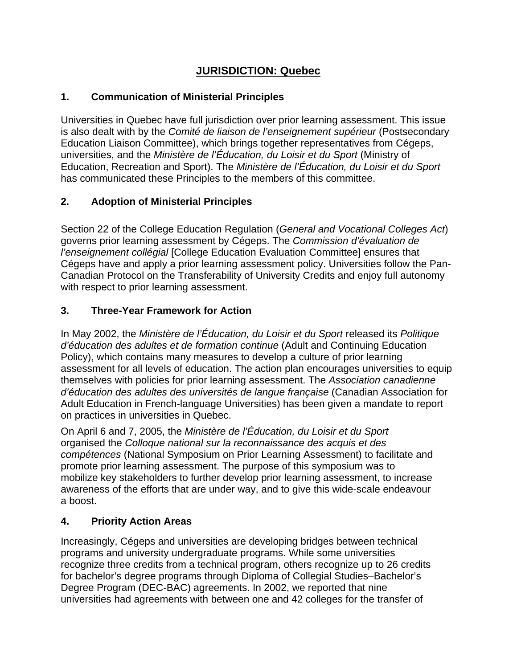# **JURISDICTION: Quebec**

### **1. Communication of Ministerial Principles**

Universities in Quebec have full jurisdiction over prior learning assessment. This issue is also dealt with by the *Comité de liaison de l'enseignement supérieur* (Postsecondary Education Liaison Committee), which brings together representatives from Cégeps, universities, and the *Ministère de l'Éducation, du Loisir et du Sport* (Ministry of Education, Recreation and Sport). The *Ministère de l'Éducation, du Loisir et du Sport* has communicated these Principles to the members of this committee.

## **2. Adoption of Ministerial Principles**

Section 22 of the College Education Regulation (*General and Vocational Colleges Act*) governs prior learning assessment by Cégeps. The *Commission d'évaluation de l'enseignement collégial* [College Education Evaluation Committee] ensures that Cégeps have and apply a prior learning assessment policy. Universities follow the Pan-Canadian Protocol on the Transferability of University Credits and enjoy full autonomy with respect to prior learning assessment.

### **3. Three-Year Framework for Action**

In May 2002, the *Ministère de l'Éducation, du Loisir et du Sport* released its *Politique d'éducation des adultes et de formation continue* (Adult and Continuing Education Policy), which contains many measures to develop a culture of prior learning assessment for all levels of education. The action plan encourages universities to equip themselves with policies for prior learning assessment. The *Association canadienne d'éducation des adultes des universités de langue française* (Canadian Association for Adult Education in French-language Universities) has been given a mandate to report on practices in universities in Quebec.

On April 6 and 7, 2005, the *Ministère de l'Éducation, du Loisir et du Sport*  organised the *Colloque national sur la reconnaissance des acquis et des compétences* (National Symposium on Prior Learning Assessment) to facilitate and promote prior learning assessment. The purpose of this symposium was to mobilize key stakeholders to further develop prior learning assessment, to increase awareness of the efforts that are under way, and to give this wide-scale endeavour a boost.

## **4. Priority Action Areas**

Increasingly, Cégeps and universities are developing bridges between technical programs and university undergraduate programs. While some universities recognize three credits from a technical program, others recognize up to 26 credits for bachelor's degree programs through Diploma of Collegial Studies–Bachelor's Degree Program (DEC-BAC) agreements. In 2002, we reported that nine universities had agreements with between one and 42 colleges for the transfer of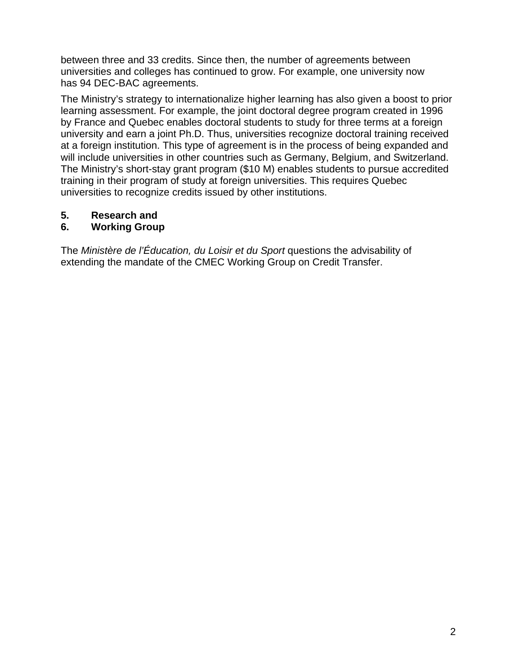between three and 33 credits. Since then, the number of agreements between universities and colleges has continued to grow. For example, one university now has 94 DEC-BAC agreements.

The Ministry's strategy to internationalize higher learning has also given a boost to prior learning assessment. For example, the joint doctoral degree program created in 1996 by France and Quebec enables doctoral students to study for three terms at a foreign university and earn a joint Ph.D. Thus, universities recognize doctoral training received at a foreign institution. This type of agreement is in the process of being expanded and will include universities in other countries such as Germany, Belgium, and Switzerland. The Ministry's short-stay grant program (\$10 M) enables students to pursue accredited training in their program of study at foreign universities. This requires Quebec universities to recognize credits issued by other institutions.

### **5. Research and**

### **6. Working Group**

The *Ministère de l'Éducation, du Loisir et du Sport* questions the advisability of extending the mandate of the CMEC Working Group on Credit Transfer.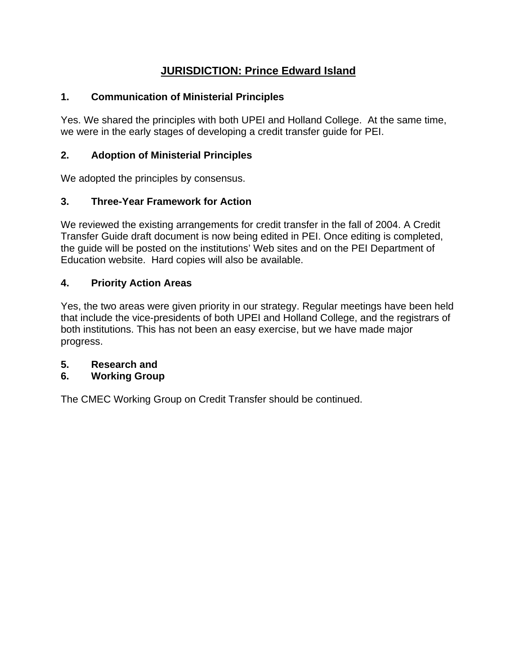# **JURISDICTION: Prince Edward Island**

### **1. Communication of Ministerial Principles**

Yes. We shared the principles with both UPEI and Holland College. At the same time, we were in the early stages of developing a credit transfer guide for PEI.

### **2. Adoption of Ministerial Principles**

We adopted the principles by consensus.

### **3. Three-Year Framework for Action**

We reviewed the existing arrangements for credit transfer in the fall of 2004. A Credit Transfer Guide draft document is now being edited in PEI. Once editing is completed, the guide will be posted on the institutions' Web sites and on the PEI Department of Education website. Hard copies will also be available.

### **4. Priority Action Areas**

Yes, the two areas were given priority in our strategy. Regular meetings have been held that include the vice-presidents of both UPEI and Holland College, and the registrars of both institutions. This has not been an easy exercise, but we have made major progress.

### **5. Research and**

### **6. Working Group**

The CMEC Working Group on Credit Transfer should be continued.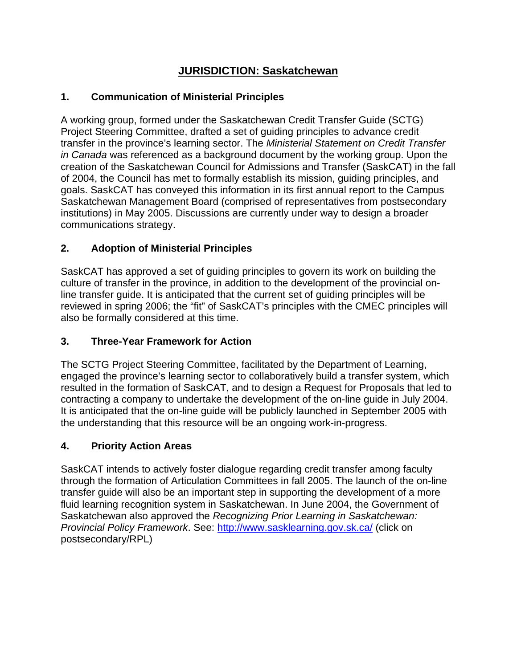# **JURISDICTION: Saskatchewan**

### **1. Communication of Ministerial Principles**

A working group, formed under the Saskatchewan Credit Transfer Guide (SCTG) Project Steering Committee, drafted a set of guiding principles to advance credit transfer in the province's learning sector. The *Ministerial Statement on Credit Transfer in Canada* was referenced as a background document by the working group. Upon the creation of the Saskatchewan Council for Admissions and Transfer (SaskCAT) in the fall of 2004, the Council has met to formally establish its mission, guiding principles, and goals. SaskCAT has conveyed this information in its first annual report to the Campus Saskatchewan Management Board (comprised of representatives from postsecondary institutions) in May 2005. Discussions are currently under way to design a broader communications strategy.

### **2. Adoption of Ministerial Principles**

SaskCAT has approved a set of guiding principles to govern its work on building the culture of transfer in the province, in addition to the development of the provincial online transfer guide. It is anticipated that the current set of guiding principles will be reviewed in spring 2006; the "fit" of SaskCAT's principles with the CMEC principles will also be formally considered at this time.

### **3. Three-Year Framework for Action**

The SCTG Project Steering Committee, facilitated by the Department of Learning, engaged the province's learning sector to collaboratively build a transfer system, which resulted in the formation of SaskCAT, and to design a Request for Proposals that led to contracting a company to undertake the development of the on-line guide in July 2004. It is anticipated that the on-line guide will be publicly launched in September 2005 with the understanding that this resource will be an ongoing work-in-progress.

### **4. Priority Action Areas**

SaskCAT intends to actively foster dialogue regarding credit transfer among faculty through the formation of Articulation Committees in fall 2005. The launch of the on-line transfer guide will also be an important step in supporting the development of a more fluid learning recognition system in Saskatchewan. In June 2004, the Government of Saskatchewan also approved the *Recognizing Prior Learning in Saskatchewan: Provincial Policy Framework*. See: http://www.sasklearning.gov.sk.ca/ (click on postsecondary/RPL)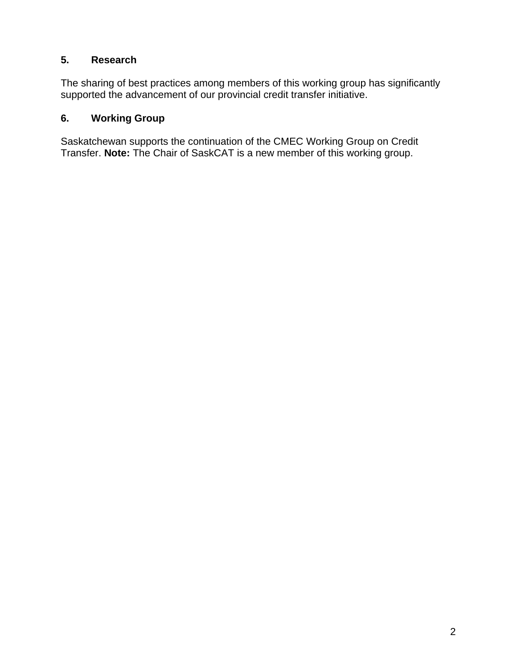#### **5. Research**

The sharing of best practices among members of this working group has significantly supported the advancement of our provincial credit transfer initiative.

### **6. Working Group**

Saskatchewan supports the continuation of the CMEC Working Group on Credit Transfer. **Note:** The Chair of SaskCAT is a new member of this working group.